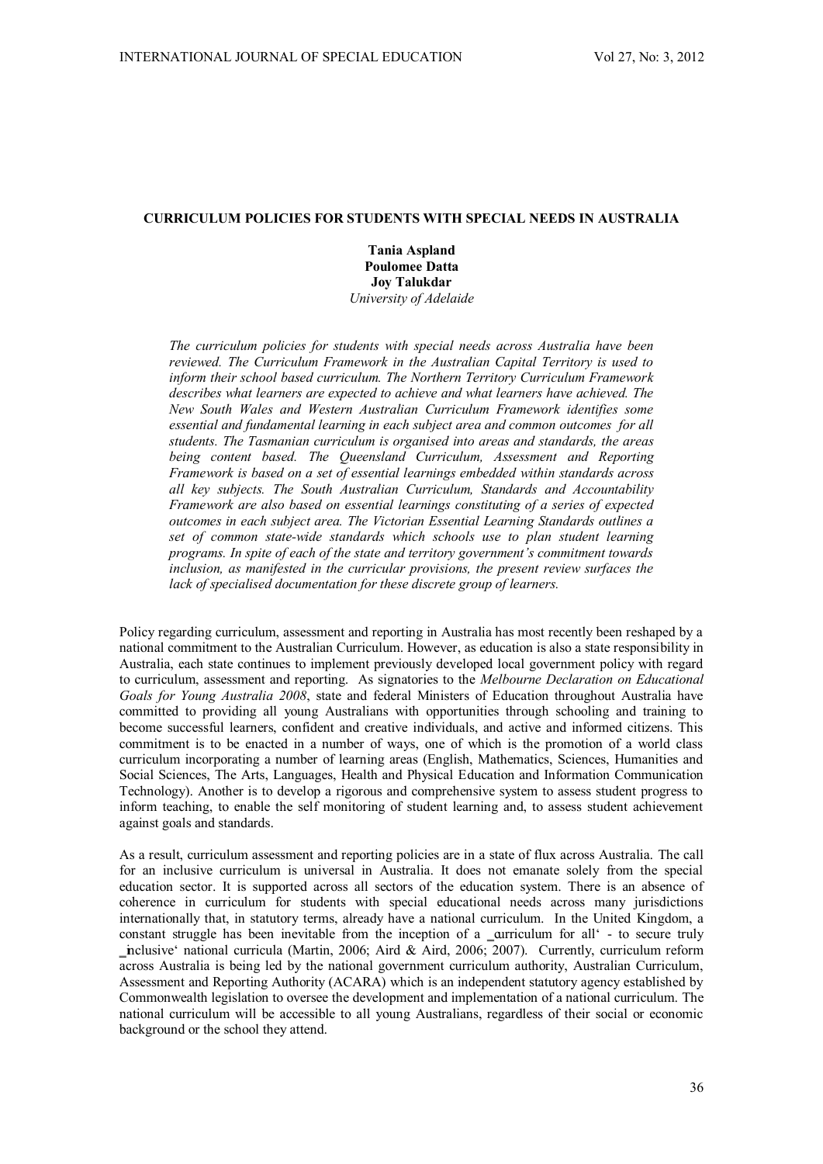# **CURRICULUM POLICIES FOR STUDENTS WITH SPECIAL NEEDS IN AUSTRALIA**

**Tania Aspland Poulomee Datta Joy Talukdar**  *University of Adelaide* 

*The curriculum policies for students with special needs across Australia have been reviewed. The Curriculum Framework in the Australian Capital Territory is used to inform their school based curriculum. The Northern Territory Curriculum Framework describes what learners are expected to achieve and what learners have achieved. The New South Wales and Western Australian Curriculum Framework identifies some essential and fundamental learning in each subject area and common outcomes for all students. The Tasmanian curriculum is organised into areas and standards, the areas being content based. The Queensland Curriculum, Assessment and Reporting Framework is based on a set of essential learnings embedded within standards across all key subjects. The South Australian Curriculum, Standards and Accountability Framework are also based on essential learnings constituting of a series of expected outcomes in each subject area. The Victorian Essential Learning Standards outlines a set of common state-wide standards which schools use to plan student learning programs. In spite of each of the state and territory government's commitment towards inclusion, as manifested in the curricular provisions, the present review surfaces the lack of specialised documentation for these discrete group of learners.*

Policy regarding curriculum, assessment and reporting in Australia has most recently been reshaped by a national commitment to the Australian Curriculum. However, as education is also a state responsibility in Australia, each state continues to implement previously developed local government policy with regard to curriculum, assessment and reporting. As signatories to the *Melbourne Declaration on Educational Goals for Young Australia 2008*, state and federal Ministers of Education throughout Australia have committed to providing all young Australians with opportunities through schooling and training to become successful learners, confident and creative individuals, and active and informed citizens. This commitment is to be enacted in a number of ways, one of which is the promotion of a world class curriculum incorporating a number of learning areas (English, Mathematics, Sciences, Humanities and Social Sciences, The Arts, Languages, Health and Physical Education and Information Communication Technology). Another is to develop a rigorous and comprehensive system to assess student progress to inform teaching, to enable the self monitoring of student learning and, to assess student achievement against goals and standards.

As a result, curriculum assessment and reporting policies are in a state of flux across Australia. The call for an inclusive curriculum is universal in Australia. It does not emanate solely from the special education sector. It is supported across all sectors of the education system. There is an absence of coherence in curriculum for students with special educational needs across many jurisdictions internationally that, in statutory terms, already have a national curriculum. In the United Kingdom, a constant struggle has been inevitable from the inception of a  $\alpha$  arriculum for all  $\epsilon$  - to secure truly nclusive' national curricula (Martin, 2006; Aird & Aird, 2006; 2007). Currently, curriculum reform across Australia is being led by the national government curriculum authority, Australian Curriculum, Assessment and Reporting Authority (ACARA) which is an independent statutory agency established by Commonwealth legislation to oversee the development and implementation of a national curriculum. The national curriculum will be accessible to all young Australians, regardless of their social or economic background or the school they attend.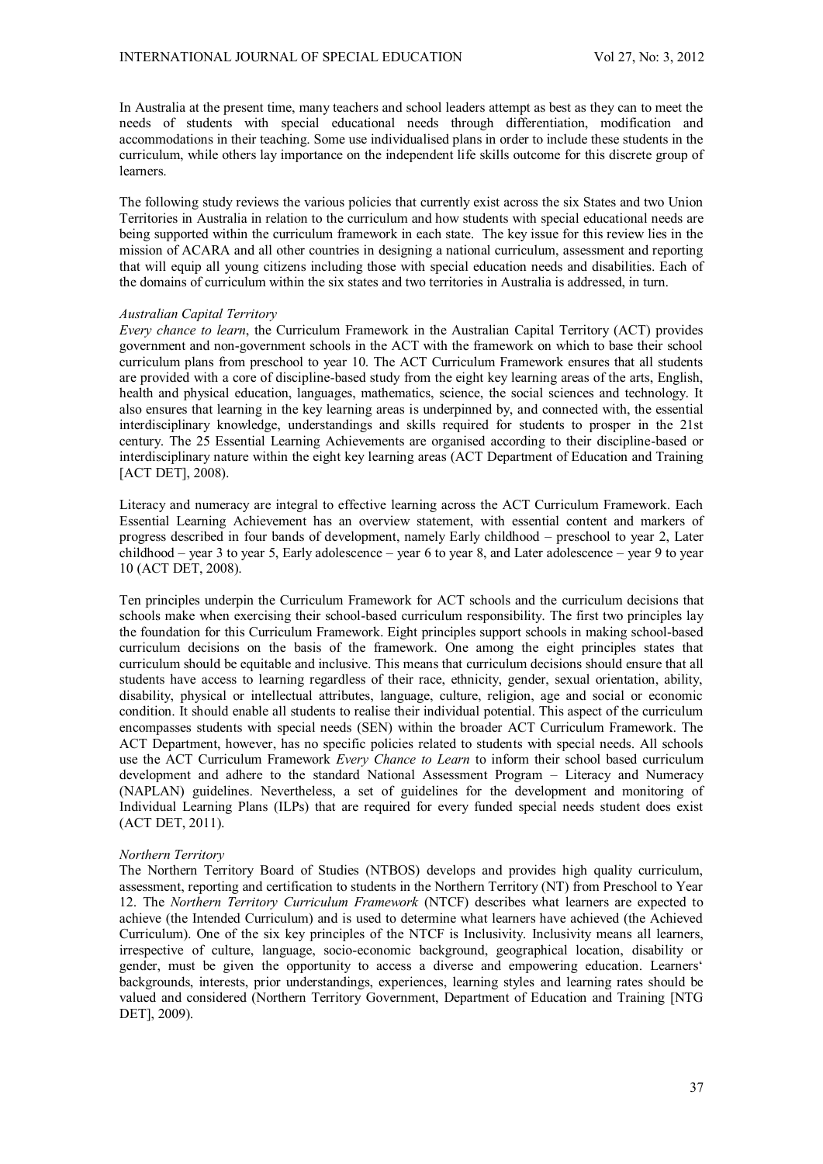In Australia at the present time, many teachers and school leaders attempt as best as they can to meet the needs of students with special educational needs through differentiation, modification and accommodations in their teaching. Some use individualised plans in order to include these students in the curriculum, while others lay importance on the independent life skills outcome for this discrete group of **learners** 

The following study reviews the various policies that currently exist across the six States and two Union Territories in Australia in relation to the curriculum and how students with special educational needs are being supported within the curriculum framework in each state. The key issue for this review lies in the mission of ACARA and all other countries in designing a national curriculum, assessment and reporting that will equip all young citizens including those with special education needs and disabilities. Each of the domains of curriculum within the six states and two territories in Australia is addressed, in turn.

### *Australian Capital Territory*

*Every chance to learn*, the Curriculum Framework in the Australian Capital Territory (ACT) provides government and non-government schools in the ACT with the framework on which to base their school curriculum plans from preschool to year 10. The ACT Curriculum Framework ensures that all students are provided with a core of discipline-based study from the eight key learning areas of the arts, English, health and physical education, languages, mathematics, science, the social sciences and technology. It also ensures that learning in the key learning areas is underpinned by, and connected with, the essential interdisciplinary knowledge, understandings and skills required for students to prosper in the 21st century. The 25 Essential Learning Achievements are organised according to their discipline-based or interdisciplinary nature within the eight key learning areas (ACT Department of Education and Training [ACT DET], 2008).

Literacy and numeracy are integral to effective learning across the ACT Curriculum Framework. Each Essential Learning Achievement has an overview statement, with essential content and markers of progress described in four bands of development, namely Early childhood – preschool to year 2, Later childhood – year 3 to year 5, Early adolescence – year 6 to year 8, and Later adolescence – year 9 to year 10 (ACT DET, 2008).

Ten principles underpin the Curriculum Framework for ACT schools and the curriculum decisions that schools make when exercising their school-based curriculum responsibility. The first two principles lay the foundation for this Curriculum Framework. Eight principles support schools in making school-based curriculum decisions on the basis of the framework. One among the eight principles states that curriculum should be equitable and inclusive. This means that curriculum decisions should ensure that all students have access to learning regardless of their race, ethnicity, gender, sexual orientation, ability, disability, physical or intellectual attributes, language, culture, religion, age and social or economic condition. It should enable all students to realise their individual potential. This aspect of the curriculum encompasses students with special needs (SEN) within the broader ACT Curriculum Framework. The ACT Department, however, has no specific policies related to students with special needs. All schools use the ACT Curriculum Framework *Every Chance to Learn* to inform their school based curriculum development and adhere to the standard National Assessment Program – Literacy and Numeracy (NAPLAN) guidelines. Nevertheless, a set of guidelines for the development and monitoring of Individual Learning Plans (ILPs) that are required for every funded special needs student does exist (ACT DET, 2011).

## *Northern Territory*

The Northern Territory Board of Studies (NTBOS) develops and provides high quality curriculum, assessment, reporting and certification to students in the Northern Territory (NT) from Preschool to Year 12. The *Northern Territory Curriculum Framework* (NTCF) describes what learners are expected to achieve (the Intended Curriculum) and is used to determine what learners have achieved (the Achieved Curriculum). One of the six key principles of the NTCF is Inclusivity. Inclusivity means all learners, irrespective of culture, language, socio-economic background, geographical location, disability or gender, must be given the opportunity to access a diverse and empowering education. Learners' backgrounds, interests, prior understandings, experiences, learning styles and learning rates should be valued and considered (Northern Territory Government, Department of Education and Training [NTG DET], 2009).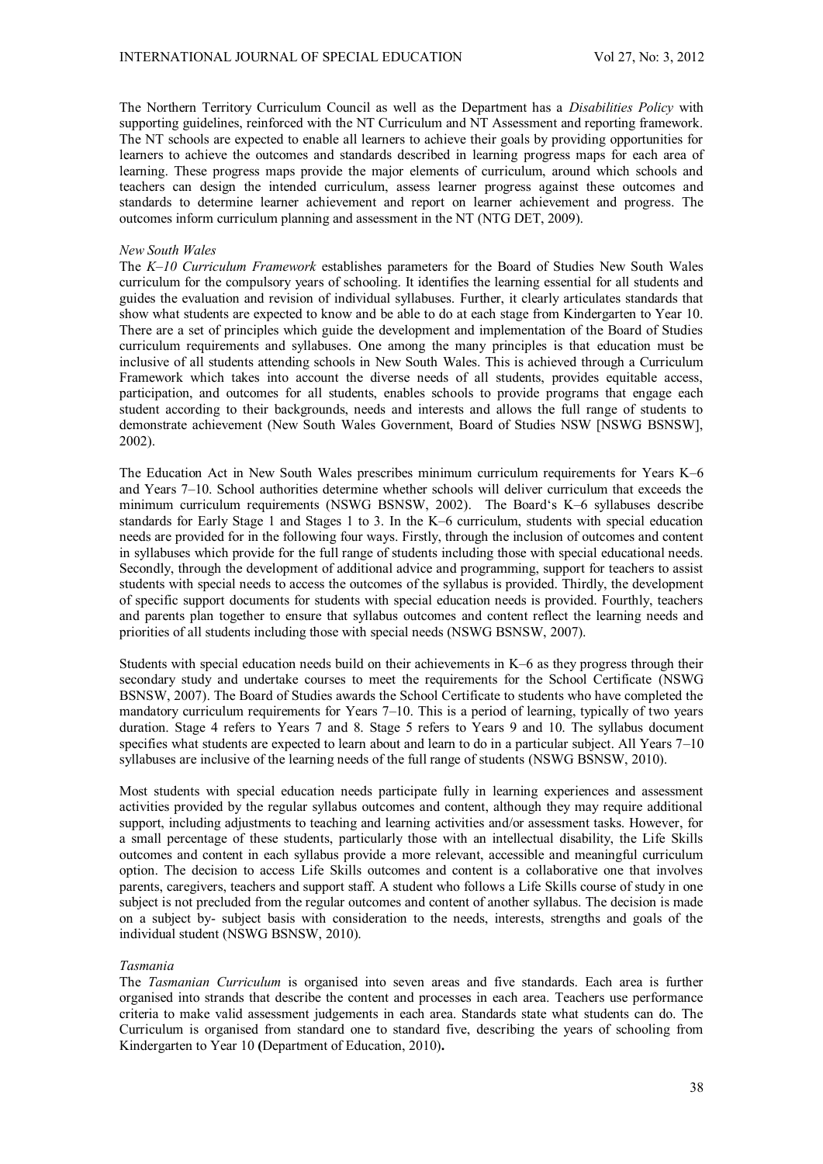The Northern Territory Curriculum Council as well as the Department has a *Disabilities Policy* with supporting guidelines, reinforced with the NT Curriculum and NT Assessment and reporting framework. The NT schools are expected to enable all learners to achieve their goals by providing opportunities for learners to achieve the outcomes and standards described in learning progress maps for each area of learning. These progress maps provide the major elements of curriculum, around which schools and teachers can design the intended curriculum, assess learner progress against these outcomes and standards to determine learner achievement and report on learner achievement and progress. The outcomes inform curriculum planning and assessment in the NT (NTG DET, 2009).

### *New South Wales*

The *K–10 Curriculum Framework* establishes parameters for the Board of Studies New South Wales curriculum for the compulsory years of schooling. It identifies the learning essential for all students and guides the evaluation and revision of individual syllabuses. Further, it clearly articulates standards that show what students are expected to know and be able to do at each stage from Kindergarten to Year 10. There are a set of principles which guide the development and implementation of the Board of Studies curriculum requirements and syllabuses. One among the many principles is that education must be inclusive of all students attending schools in New South Wales. This is achieved through a Curriculum Framework which takes into account the diverse needs of all students, provides equitable access, participation, and outcomes for all students, enables schools to provide programs that engage each student according to their backgrounds, needs and interests and allows the full range of students to demonstrate achievement (New South Wales Government, Board of Studies NSW [NSWG BSNSW], 2002).

The Education Act in New South Wales prescribes minimum curriculum requirements for Years K–6 and Years 7–10. School authorities determine whether schools will deliver curriculum that exceeds the minimum curriculum requirements (NSWG BSNSW, 2002). The Board's K–6 syllabuses describe standards for Early Stage 1 and Stages 1 to 3. In the K–6 curriculum, students with special education needs are provided for in the following four ways. Firstly, through the inclusion of outcomes and content in syllabuses which provide for the full range of students including those with special educational needs. Secondly, through the development of additional advice and programming, support for teachers to assist students with special needs to access the outcomes of the syllabus is provided. Thirdly, the development of specific support documents for students with special education needs is provided. Fourthly, teachers and parents plan together to ensure that syllabus outcomes and content reflect the learning needs and priorities of all students including those with special needs (NSWG BSNSW, 2007).

Students with special education needs build on their achievements in K–6 as they progress through their secondary study and undertake courses to meet the requirements for the School Certificate (NSWG BSNSW, 2007). The Board of Studies awards the School Certificate to students who have completed the mandatory curriculum requirements for Years 7–10. This is a period of learning, typically of two years duration. Stage 4 refers to Years 7 and 8. Stage 5 refers to Years 9 and 10. The syllabus document specifies what students are expected to learn about and learn to do in a particular subject. All Years 7–10 syllabuses are inclusive of the learning needs of the full range of students (NSWG BSNSW, 2010).

Most students with special education needs participate fully in learning experiences and assessment activities provided by the regular syllabus outcomes and content, although they may require additional support, including adjustments to teaching and learning activities and/or assessment tasks. However, for a small percentage of these students, particularly those with an intellectual disability, the Life Skills outcomes and content in each syllabus provide a more relevant, accessible and meaningful curriculum option. The decision to access Life Skills outcomes and content is a collaborative one that involves parents, caregivers, teachers and support staff. A student who follows a Life Skills course of study in one subject is not precluded from the regular outcomes and content of another syllabus. The decision is made on a subject by- subject basis with consideration to the needs, interests, strengths and goals of the individual student (NSWG BSNSW, 2010).

#### *Tasmania*

The *Tasmanian Curriculum* is organised into seven areas and five standards. Each area is further organised into strands that describe the content and processes in each area. Teachers use performance criteria to make valid assessment judgements in each area. Standards state what students can do. The Curriculum is organised from standard one to standard five, describing the years of schooling from Kindergarten to Year 10 **(**Department of Education, 2010)**.**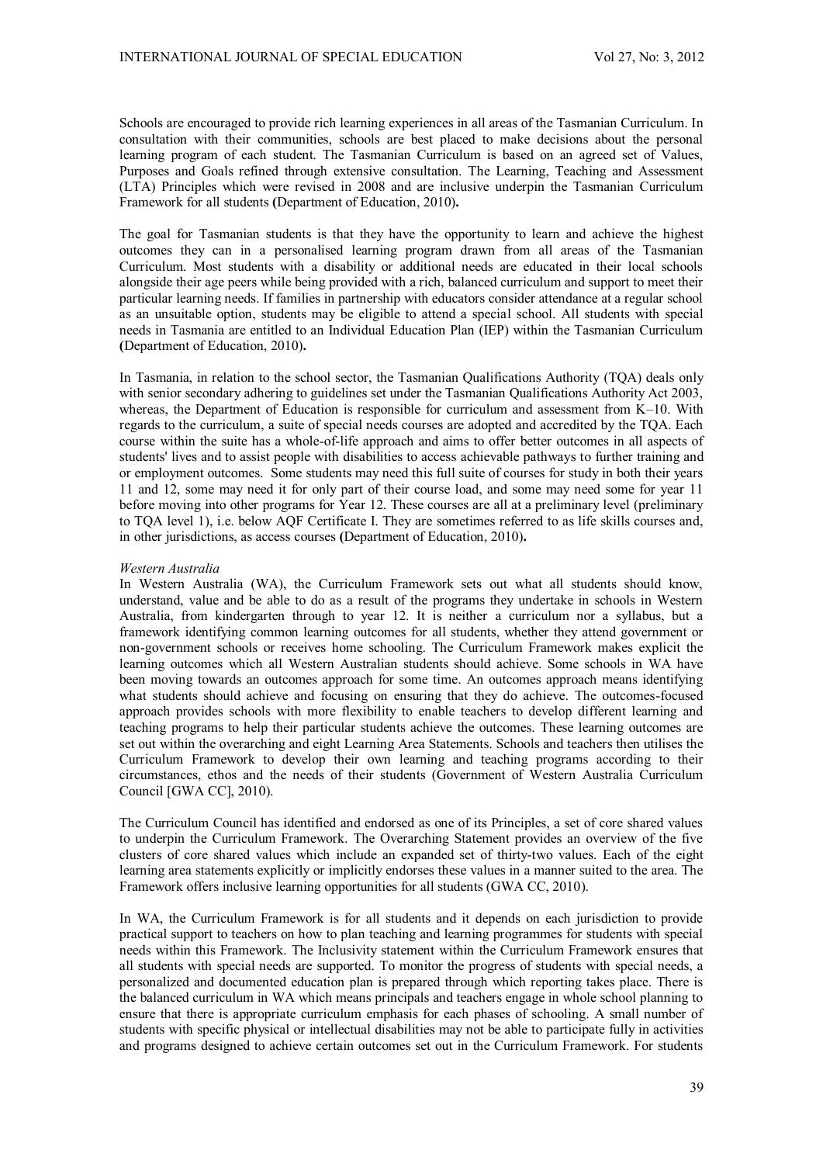Schools are encouraged to provide rich learning experiences in all areas of the Tasmanian Curriculum. In consultation with their communities, schools are best placed to make decisions about the personal learning program of each student. The Tasmanian Curriculum is based on an agreed set of Values, Purposes and Goals refined through extensive consultation. The Learning, Teaching and Assessment (LTA) Principles which were revised in 2008 and are inclusive underpin the Tasmanian Curriculum Framework for all students **(**Department of Education, 2010)**.**

The goal for Tasmanian students is that they have the opportunity to learn and achieve the highest outcomes they can in a personalised learning program drawn from all areas of the Tasmanian Curriculum. Most students with a disability or additional needs are educated in their local schools alongside their age peers while being provided with a rich, balanced curriculum and support to meet their particular learning needs. If families in partnership with educators consider attendance at a regular school as an unsuitable option, students may be eligible to attend a special school. All students with special needs in Tasmania are entitled to an Individual Education Plan (IEP) within the Tasmanian Curriculum **(**Department of Education, 2010)**.**

In Tasmania, in relation to the school sector, the Tasmanian Qualifications Authority (TQA) deals only with senior secondary adhering to guidelines set under the Tasmanian Qualifications Authority Act 2003, whereas, the Department of Education is responsible for curriculum and assessment from K–10. With regards to the curriculum, a suite of special needs courses are adopted and accredited by the TQA. Each course within the suite has a whole-of-life approach and aims to offer better outcomes in all aspects of students' lives and to assist people with disabilities to access achievable pathways to further training and or employment outcomes. Some students may need this full suite of courses for study in both their years 11 and 12, some may need it for only part of their course load, and some may need some for year 11 before moving into other programs for Year 12. These courses are all at a preliminary level (preliminary to TQA level 1), i.e. below AQF Certificate I. They are sometimes referred to as life skills courses and, in other jurisdictions, as access courses **(**Department of Education, 2010)**.** 

### *Western Australia*

In Western Australia (WA), the Curriculum Framework sets out what all students should know, understand, value and be able to do as a result of the programs they undertake in schools in Western Australia, from kindergarten through to year 12. It is neither a curriculum nor a syllabus, but a framework identifying common learning outcomes for all students, whether they attend government or non-government schools or receives home schooling. The Curriculum Framework makes explicit the learning outcomes which all Western Australian students should achieve. Some schools in WA have been moving towards an outcomes approach for some time. An outcomes approach means identifying what students should achieve and focusing on ensuring that they do achieve. The outcomes-focused approach provides schools with more flexibility to enable teachers to develop different learning and teaching programs to help their particular students achieve the outcomes. These learning outcomes are set out within the overarching and eight Learning Area Statements. Schools and teachers then utilises the Curriculum Framework to develop their own learning and teaching programs according to their circumstances, ethos and the needs of their students (Government of Western Australia Curriculum Council [GWA CC], 2010).

The Curriculum Council has identified and endorsed as one of its Principles, a set of core shared values to underpin the Curriculum Framework. The Overarching Statement provides an overview of the five clusters of core shared values which include an expanded set of thirty-two values. Each of the eight learning area statements explicitly or implicitly endorses these values in a manner suited to the area. The Framework offers inclusive learning opportunities for all students (GWA CC, 2010).

In WA, the Curriculum Framework is for all students and it depends on each jurisdiction to provide practical support to teachers on how to plan teaching and learning programmes for students with special needs within this Framework. The Inclusivity statement within the Curriculum Framework ensures that all students with special needs are supported. To monitor the progress of students with special needs, a personalized and documented education plan is prepared through which reporting takes place. There is the balanced curriculum in WA which means principals and teachers engage in whole school planning to ensure that there is appropriate curriculum emphasis for each phases of schooling. A small number of students with specific physical or intellectual disabilities may not be able to participate fully in activities and programs designed to achieve certain outcomes set out in the Curriculum Framework. For students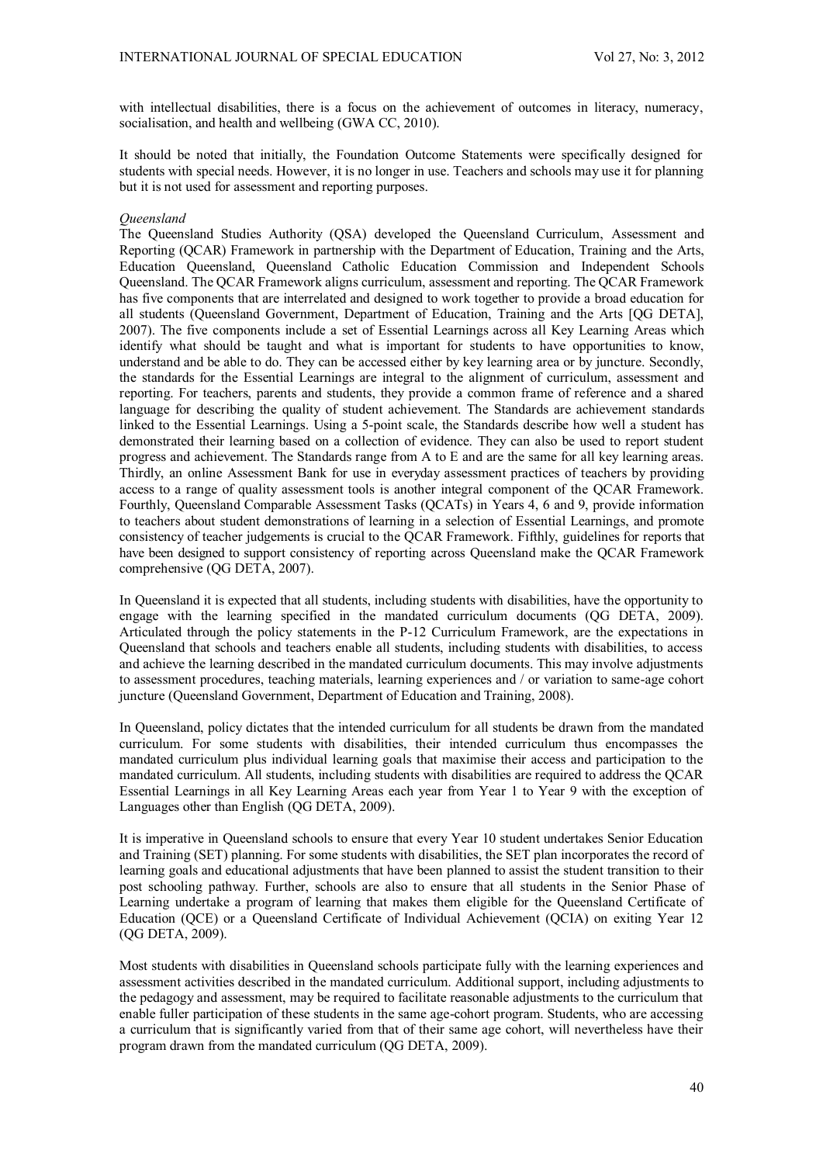with intellectual disabilities, there is a focus on the achievement of outcomes in literacy, numeracy, socialisation, and health and wellbeing (GWA CC, 2010).

It should be noted that initially, the Foundation Outcome Statements were specifically designed for students with special needs. However, it is no longer in use. Teachers and schools may use it for planning but it is not used for assessment and reporting purposes.

# *Queensland*

The Queensland Studies Authority (QSA) developed the Queensland Curriculum, Assessment and Reporting (QCAR) Framework in partnership with the Department of Education, Training and the Arts, Education Queensland, Queensland Catholic Education Commission and Independent Schools Queensland. The QCAR Framework aligns curriculum, assessment and reporting. The QCAR Framework has five components that are interrelated and designed to work together to provide a broad education for all students (Queensland Government, Department of Education, Training and the Arts [QG DETA], 2007). The five components include a set of Essential Learnings across all Key Learning Areas which identify what should be taught and what is important for students to have opportunities to know, understand and be able to do. They can be accessed either by key learning area or by juncture. Secondly, the standards for the Essential Learnings are integral to the alignment of curriculum, assessment and reporting. For teachers, parents and students, they provide a common frame of reference and a shared language for describing the quality of student achievement. The Standards are achievement standards linked to the Essential Learnings. Using a 5-point scale, the Standards describe how well a student has demonstrated their learning based on a collection of evidence. They can also be used to report student progress and achievement. The Standards range from A to E and are the same for all key learning areas. Thirdly, an online Assessment Bank for use in everyday assessment practices of teachers by providing access to a range of quality assessment tools is another integral component of the QCAR Framework. Fourthly, Queensland Comparable Assessment Tasks (QCATs) in Years 4, 6 and 9, provide information to teachers about student demonstrations of learning in a selection of Essential Learnings, and promote consistency of teacher judgements is crucial to the QCAR Framework. Fifthly, guidelines for reports that have been designed to support consistency of reporting across Queensland make the QCAR Framework comprehensive (QG DETA, 2007).

In Queensland it is expected that all students, including students with disabilities, have the opportunity to engage with the learning specified in the mandated curriculum documents (QG DETA, 2009). Articulated through the policy statements in the P-12 Curriculum Framework, are the expectations in Queensland that schools and teachers enable all students, including students with disabilities, to access and achieve the learning described in the mandated curriculum documents. This may involve adjustments to assessment procedures, teaching materials, learning experiences and / or variation to same-age cohort juncture (Queensland Government, Department of Education and Training, 2008).

In Queensland, policy dictates that the intended curriculum for all students be drawn from the mandated curriculum. For some students with disabilities, their intended curriculum thus encompasses the mandated curriculum plus individual learning goals that maximise their access and participation to the mandated curriculum. All students, including students with disabilities are required to address the QCAR Essential Learnings in all Key Learning Areas each year from Year 1 to Year 9 with the exception of Languages other than English (QG DETA, 2009).

It is imperative in Queensland schools to ensure that every Year 10 student undertakes Senior Education and Training (SET) planning. For some students with disabilities, the SET plan incorporates the record of learning goals and educational adjustments that have been planned to assist the student transition to their post schooling pathway. Further, schools are also to ensure that all students in the Senior Phase of Learning undertake a program of learning that makes them eligible for the Queensland Certificate of Education (QCE) or a Queensland Certificate of Individual Achievement (QCIA) on exiting Year 12 (QG DETA, 2009).

Most students with disabilities in Queensland schools participate fully with the learning experiences and assessment activities described in the mandated curriculum. Additional support, including adjustments to the pedagogy and assessment, may be required to facilitate reasonable adjustments to the curriculum that enable fuller participation of these students in the same age-cohort program. Students, who are accessing a curriculum that is significantly varied from that of their same age cohort, will nevertheless have their program drawn from the mandated curriculum (QG DETA, 2009).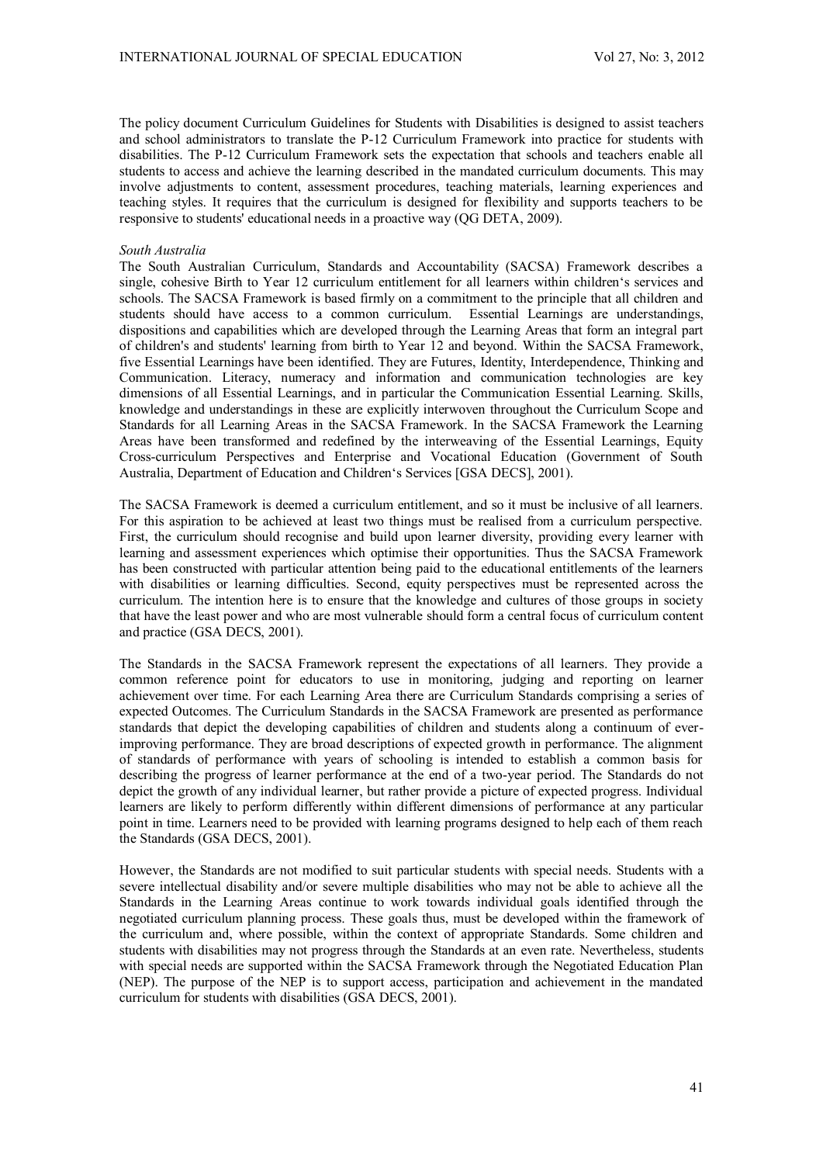The policy document Curriculum Guidelines for Students with Disabilities is designed to assist teachers and school administrators to translate the P-12 Curriculum Framework into practice for students with disabilities. The P-12 Curriculum Framework sets the expectation that schools and teachers enable all students to access and achieve the learning described in the mandated curriculum documents. This may involve adjustments to content, assessment procedures, teaching materials, learning experiences and teaching styles. It requires that the curriculum is designed for flexibility and supports teachers to be responsive to students' educational needs in a proactive way (QG DETA, 2009).

### *South Australia*

The South Australian Curriculum, Standards and Accountability (SACSA) Framework describes a single, cohesive Birth to Year 12 curriculum entitlement for all learners within children's services and schools. The SACSA Framework is based firmly on a commitment to the principle that all children and students should have access to a common curriculum. Essential Learnings are understandings, dispositions and capabilities which are developed through the Learning Areas that form an integral part of children's and students' learning from birth to Year 12 and beyond. Within the SACSA Framework, five Essential Learnings have been identified. They are Futures, Identity, Interdependence, Thinking and Communication. Literacy, numeracy and information and communication technologies are key dimensions of all Essential Learnings, and in particular the Communication Essential Learning. Skills, knowledge and understandings in these are explicitly interwoven throughout the Curriculum Scope and Standards for all Learning Areas in the SACSA Framework. In the SACSA Framework the Learning Areas have been transformed and redefined by the interweaving of the Essential Learnings, Equity Cross-curriculum Perspectives and Enterprise and Vocational Education (Government of South Australia, Department of Education and Children's Services [GSA DECS], 2001).

The SACSA Framework is deemed a curriculum entitlement, and so it must be inclusive of all learners. For this aspiration to be achieved at least two things must be realised from a curriculum perspective. First, the curriculum should recognise and build upon learner diversity, providing every learner with learning and assessment experiences which optimise their opportunities. Thus the SACSA Framework has been constructed with particular attention being paid to the educational entitlements of the learners with disabilities or learning difficulties. Second, equity perspectives must be represented across the curriculum. The intention here is to ensure that the knowledge and cultures of those groups in society that have the least power and who are most vulnerable should form a central focus of curriculum content and practice (GSA DECS, 2001).

The Standards in the SACSA Framework represent the expectations of all learners. They provide a common reference point for educators to use in monitoring, judging and reporting on learner achievement over time. For each Learning Area there are Curriculum Standards comprising a series of expected Outcomes. The Curriculum Standards in the SACSA Framework are presented as performance standards that depict the developing capabilities of children and students along a continuum of everimproving performance. They are broad descriptions of expected growth in performance. The alignment of standards of performance with years of schooling is intended to establish a common basis for describing the progress of learner performance at the end of a two-year period. The Standards do not depict the growth of any individual learner, but rather provide a picture of expected progress. Individual learners are likely to perform differently within different dimensions of performance at any particular point in time. Learners need to be provided with learning programs designed to help each of them reach the Standards (GSA DECS, 2001).

However, the Standards are not modified to suit particular students with special needs. Students with a severe intellectual disability and/or severe multiple disabilities who may not be able to achieve all the Standards in the Learning Areas continue to work towards individual goals identified through the negotiated curriculum planning process. These goals thus, must be developed within the framework of the curriculum and, where possible, within the context of appropriate Standards. Some children and students with disabilities may not progress through the Standards at an even rate. Nevertheless, students with special needs are supported within the SACSA Framework through the Negotiated Education Plan (NEP). The purpose of the NEP is to support access, participation and achievement in the mandated curriculum for students with disabilities (GSA DECS, 2001).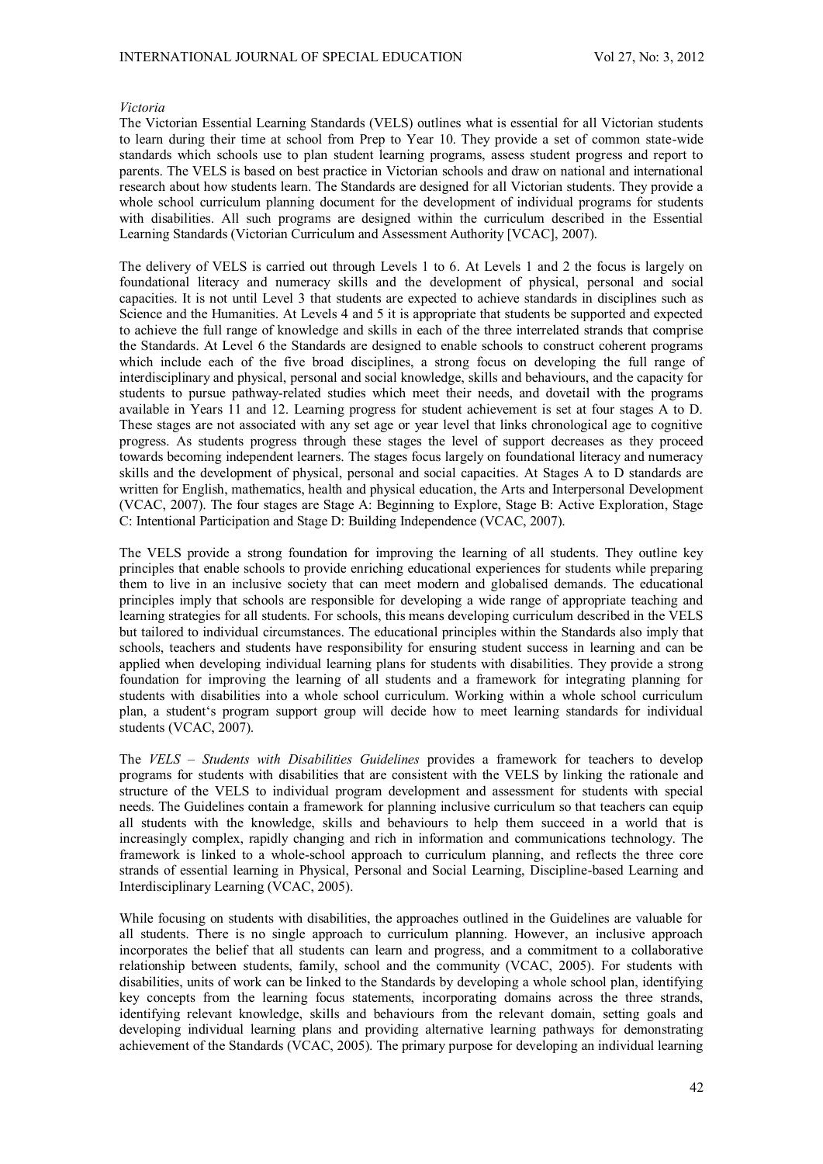### *Victoria*

The Victorian Essential Learning Standards (VELS) outlines what is essential for all Victorian students to learn during their time at school from Prep to Year 10. They provide a set of common state-wide standards which schools use to plan student learning programs, assess student progress and report to parents. The VELS is based on best practice in Victorian schools and draw on national and international research about how students learn. The Standards are designed for all Victorian students. They provide a whole school curriculum planning document for the development of individual programs for students with disabilities. All such programs are designed within the curriculum described in the Essential Learning Standards (Victorian Curriculum and Assessment Authority [VCAC], 2007).

The delivery of VELS is carried out through Levels 1 to 6. At Levels 1 and 2 the focus is largely on foundational literacy and numeracy skills and the development of physical, personal and social capacities. It is not until Level 3 that students are expected to achieve standards in disciplines such as Science and the Humanities. At Levels 4 and 5 it is appropriate that students be supported and expected to achieve the full range of knowledge and skills in each of the three interrelated strands that comprise the Standards. At Level 6 the Standards are designed to enable schools to construct coherent programs which include each of the five broad disciplines, a strong focus on developing the full range of interdisciplinary and physical, personal and social knowledge, skills and behaviours, and the capacity for students to pursue pathway-related studies which meet their needs, and dovetail with the programs available in Years 11 and 12. Learning progress for student achievement is set at four stages A to D. These stages are not associated with any set age or year level that links chronological age to cognitive progress. As students progress through these stages the level of support decreases as they proceed towards becoming independent learners. The stages focus largely on foundational literacy and numeracy skills and the development of physical, personal and social capacities. At Stages A to D standards are written for English, mathematics, health and physical education, the Arts and Interpersonal Development (VCAC, 2007). The four stages are Stage A: Beginning to Explore, Stage B: Active Exploration, Stage C: Intentional Participation and Stage D: Building Independence (VCAC, 2007).

The VELS provide a strong foundation for improving the learning of all students. They outline key principles that enable schools to provide enriching educational experiences for students while preparing them to live in an inclusive society that can meet modern and globalised demands. The educational principles imply that schools are responsible for developing a wide range of appropriate teaching and learning strategies for all students. For schools, this means developing curriculum described in the VELS but tailored to individual circumstances. The educational principles within the Standards also imply that schools, teachers and students have responsibility for ensuring student success in learning and can be applied when developing individual learning plans for students with disabilities. They provide a strong foundation for improving the learning of all students and a framework for integrating planning for students with disabilities into a whole school curriculum. Working within a whole school curriculum plan, a student's program support group will decide how to meet learning standards for individual students (VCAC, 2007).

The *VELS – Students with Disabilities Guidelines* provides a framework for teachers to develop programs for students with disabilities that are consistent with the VELS by linking the rationale and structure of the VELS to individual program development and assessment for students with special needs. The Guidelines contain a framework for planning inclusive curriculum so that teachers can equip all students with the knowledge, skills and behaviours to help them succeed in a world that is increasingly complex, rapidly changing and rich in information and communications technology. The framework is linked to a whole-school approach to curriculum planning, and reflects the three core strands of essential learning in Physical, Personal and Social Learning, Discipline-based Learning and Interdisciplinary Learning (VCAC, 2005).

While focusing on students with disabilities, the approaches outlined in the Guidelines are valuable for all students. There is no single approach to curriculum planning. However, an inclusive approach incorporates the belief that all students can learn and progress, and a commitment to a collaborative relationship between students, family, school and the community (VCAC, 2005). For students with disabilities, units of work can be linked to the Standards by developing a whole school plan, identifying key concepts from the learning focus statements, incorporating domains across the three strands, identifying relevant knowledge, skills and behaviours from the relevant domain, setting goals and developing individual learning plans and providing alternative learning pathways for demonstrating achievement of the Standards (VCAC, 2005). The primary purpose for developing an individual learning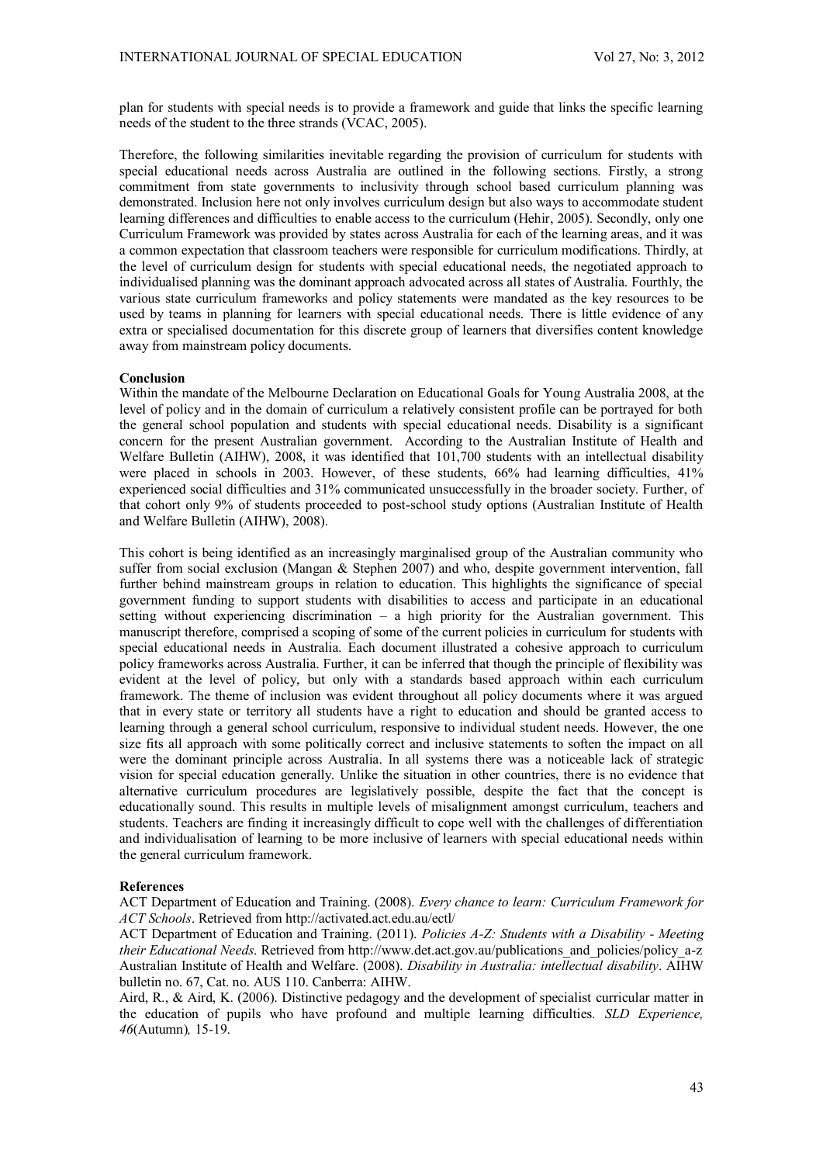plan for students with special needs is to provide a framework and guide that links the specific learning needs of the student to the three strands (VCAC, 2005).

Therefore, the following similarities inevitable regarding the provision of curriculum for students with special educational needs across Australia are outlined in the following sections. Firstly, a strong commitment from state governments to inclusivity through school based curriculum planning was demonstrated. Inclusion here not only involves curriculum design but also ways to accommodate student learning differences and difficulties to enable access to the curriculum (Hehir, 2005). Secondly, only one Curriculum Framework was provided by states across Australia for each of the learning areas, and it was a common expectation that classroom teachers were responsible for curriculum modifications. Thirdly, at the level of curriculum design for students with special educational needs, the negotiated approach to individualised planning was the dominant approach advocated across all states of Australia. Fourthly, the various state curriculum frameworks and policy statements were mandated as the key resources to be used by teams in planning for learners with special educational needs. There is little evidence of any extra or specialised documentation for this discrete group of learners that diversifies content knowledge away from mainstream policy documents.

# **Conclusion**

Within the mandate of the Melbourne Declaration on Educational Goals for Young Australia 2008, at the level of policy and in the domain of curriculum a relatively consistent profile can be portrayed for both the general school population and students with special educational needs. Disability is a significant concern for the present Australian government. According to the Australian Institute of Health and Welfare Bulletin (AIHW), 2008, it was identified that 101,700 students with an intellectual disability were placed in schools in 2003. However, of these students, 66% had learning difficulties, 41% experienced social difficulties and 31% communicated unsuccessfully in the broader society. Further, of that cohort only 9% of students proceeded to post-school study options (Australian Institute of Health and Welfare Bulletin (AIHW), 2008).

This cohort is being identified as an increasingly marginalised group of the Australian community who suffer from social exclusion (Mangan & Stephen 2007) and who, despite government intervention, fall further behind mainstream groups in relation to education. This highlights the significance of special government funding to support students with disabilities to access and participate in an educational setting without experiencing discrimination – a high priority for the Australian government. This manuscript therefore, comprised a scoping of some of the current policies in curriculum for students with special educational needs in Australia. Each document illustrated a cohesive approach to curriculum policy frameworks across Australia. Further, it can be inferred that though the principle of flexibility was evident at the level of policy, but only with a standards based approach within each curriculum framework. The theme of inclusion was evident throughout all policy documents where it was argued that in every state or territory all students have a right to education and should be granted access to learning through a general school curriculum, responsive to individual student needs. However, the one size fits all approach with some politically correct and inclusive statements to soften the impact on all were the dominant principle across Australia. In all systems there was a noticeable lack of strategic vision for special education generally. Unlike the situation in other countries, there is no evidence that alternative curriculum procedures are legislatively possible, despite the fact that the concept is educationally sound. This results in multiple levels of misalignment amongst curriculum, teachers and students. Teachers are finding it increasingly difficult to cope well with the challenges of differentiation and individualisation of learning to be more inclusive of learners with special educational needs within the general curriculum framework.

#### **References**

ACT Department of Education and Training. (2008). *Every chance to learn: Curriculum Framework for ACT Schools*. Retrieved from http://activated.act.edu.au/ectl/

ACT Department of Education and Training. (2011). *Policies A-Z: Students with a Disability - Meeting their Educational Needs*. Retrieved from http://www.det.act.gov.au/publications\_and\_policies/policy\_a-z Australian Institute of Health and Welfare. (2008). *Disability in Australia: intellectual disability*. AIHW bulletin no. 67, Cat. no. AUS 110. Canberra: AIHW.

Aird, R., & Aird, K. (2006). Distinctive pedagogy and the development of specialist curricular matter in the education of pupils who have profound and multiple learning difficulties*. SLD Experience, 46*(Autumn)*,* 15-19.